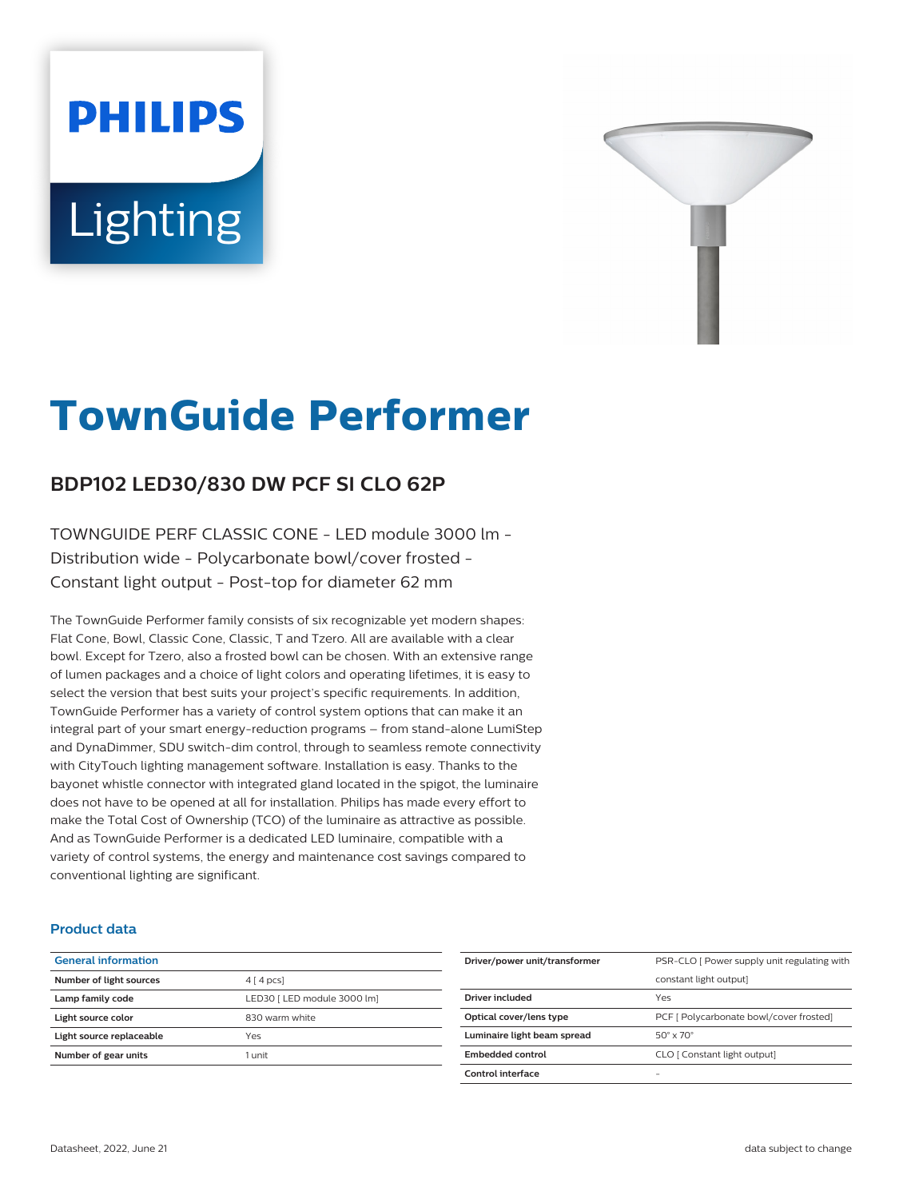# **PHILIPS** Lighting



# **TownGuide Performer**

# **BDP102 LED30/830 DW PCF SI CLO 62P**

TOWNGUIDE PERF CLASSIC CONE - LED module 3000 lm - Distribution wide - Polycarbonate bowl/cover frosted - Constant light output - Post-top for diameter 62 mm

The TownGuide Performer family consists of six recognizable yet modern shapes: Flat Cone, Bowl, Classic Cone, Classic, T and Tzero. All are available with a clear bowl. Except for Tzero, also a frosted bowl can be chosen. With an extensive range of lumen packages and a choice of light colors and operating lifetimes, it is easy to select the version that best suits your project's specific requirements. In addition, TownGuide Performer has a variety of control system options that can make it an integral part of your smart energy-reduction programs – from stand-alone LumiStep and DynaDimmer, SDU switch-dim control, through to seamless remote connectivity with CityTouch lighting management software. Installation is easy. Thanks to the bayonet whistle connector with integrated gland located in the spigot, the luminaire does not have to be opened at all for installation. Philips has made every effort to make the Total Cost of Ownership (TCO) of the luminaire as attractive as possible. And as TownGuide Performer is a dedicated LED luminaire, compatible with a variety of control systems, the energy and maintenance cost savings compared to conventional lighting are significant.

#### **Product data**

| <b>General information</b> |                             |
|----------------------------|-----------------------------|
| Number of light sources    | $4 \mid 4 \mid pcs$         |
| Lamp family code           | LED30   LED module 3000 lm] |
| Light source color         | 830 warm white              |
| Light source replaceable   | Yes                         |
| Number of gear units       | 1 unit                      |
|                            |                             |

| Driver/power unit/transformer | PSR-CLO [ Power supply unit regulating with |
|-------------------------------|---------------------------------------------|
|                               | constant light output]                      |
| Driver included               | Yes                                         |
| Optical cover/lens type       | PCF [ Polycarbonate bowl/cover frosted]     |
| Luminaire light beam spread   | $50^\circ \times 70^\circ$                  |
| Embedded control              | CLO [ Constant light output]                |
| Control interface             |                                             |
|                               |                                             |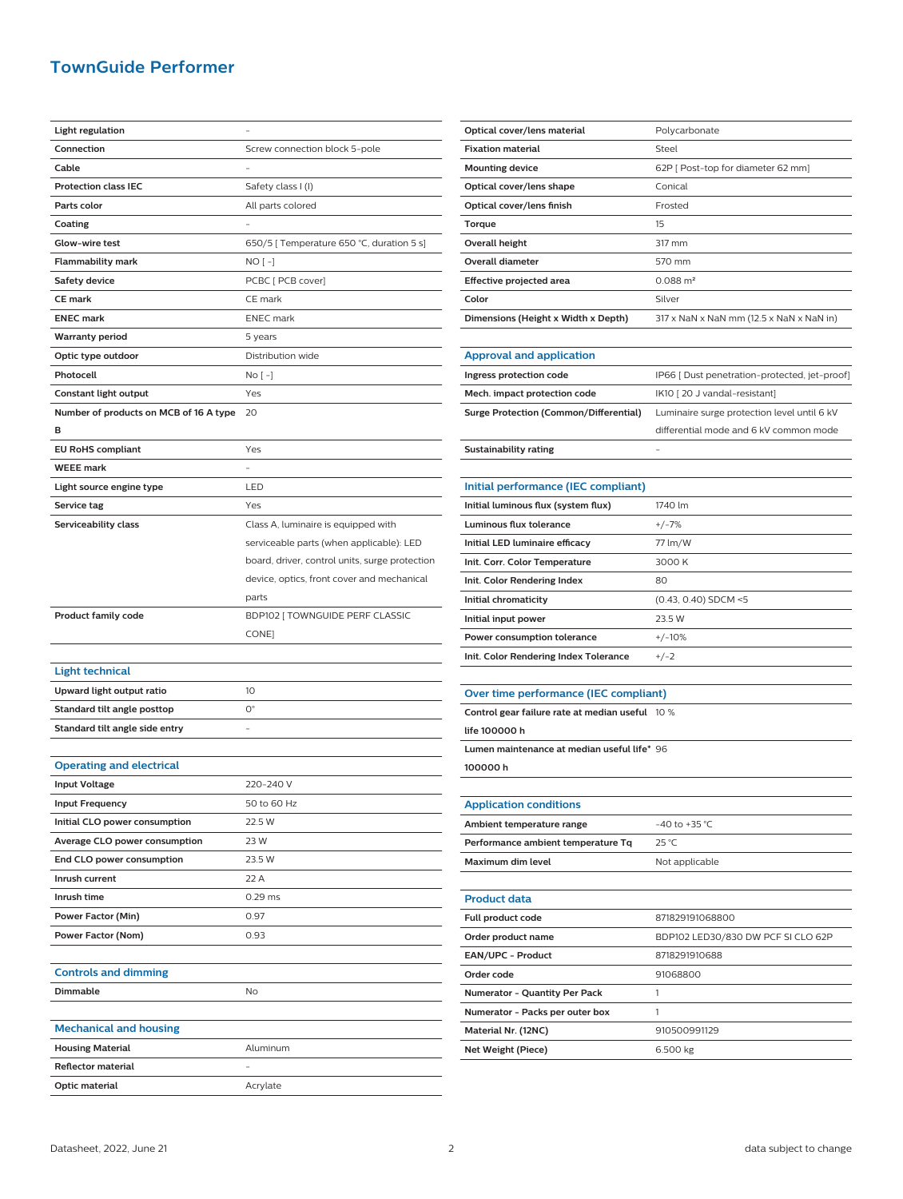## **TownGuide Performer**

| <b>Light regulation</b>                     |                                                |
|---------------------------------------------|------------------------------------------------|
| Connection                                  | Screw connection block 5-pole                  |
| Cable                                       |                                                |
| <b>Protection class IEC</b>                 | Safety class I (I)                             |
| Parts color                                 | All parts colored                              |
| Coating                                     |                                                |
| Glow-wire test                              | 650/5 [ Temperature 650 °C, duration 5 s]      |
| <b>Flammability mark</b>                    | NO [ -]                                        |
| <b>Safety device</b>                        | PCBC [ PCB cover]                              |
| <b>CE mark</b>                              | CE mark                                        |
| <b>ENEC mark</b>                            | <b>ENEC</b> mark                               |
| <b>Warranty period</b>                      | 5 years                                        |
| Optic type outdoor                          | Distribution wide                              |
| Photocell                                   | No [ -]                                        |
| Constant light output                       | Yes                                            |
|                                             | 20                                             |
| Number of products on MCB of 16 A type<br>в |                                                |
| <b>EU RoHS compliant</b>                    | Yes                                            |
| <b>WEEE mark</b>                            |                                                |
|                                             |                                                |
| Light source engine type                    | LED                                            |
| Service tag                                 | Yes                                            |
| Serviceability class                        | Class A, luminaire is equipped with            |
|                                             | serviceable parts (when applicable): LED       |
|                                             | board, driver, control units, surge protection |
|                                             | device, optics, front cover and mechanical     |
|                                             | parts                                          |
|                                             |                                                |
| <b>Product family code</b>                  | BDP102 [ TOWNGUIDE PERF CLASSIC                |
|                                             | CONE]                                          |
|                                             |                                                |
| <b>Light technical</b>                      |                                                |
| Upward light output ratio                   | 10                                             |
| Standard tilt angle posttop                 | $O^{\circ}$                                    |
| Standard tilt angle side entry              |                                                |
|                                             |                                                |
| <b>Operating and electrical</b>             |                                                |
| <b>Input Voltage</b>                        | 220-240 V                                      |
| <b>Input Frequency</b>                      | 50 to 60 Hz                                    |
| Initial CLO power consumption               | 22.5 W                                         |
| Average CLO power consumption               | 23 W                                           |
| End CLO power consumption                   | 23.5 W                                         |
| Inrush current                              | 22 A                                           |
| Inrush time                                 | $0.29$ ms                                      |
| Power Factor (Min)                          | 0.97                                           |
| Power Factor (Nom)                          | 0.93                                           |
|                                             |                                                |
| <b>Controls and dimming</b>                 |                                                |
| Dimmable                                    | No                                             |
|                                             |                                                |
| <b>Mechanical and housing</b>               |                                                |
| <b>Housing Material</b>                     | Aluminum                                       |
| <b>Reflector material</b>                   |                                                |

| Optical cover/lens material                 | Polycarbonate                                 |
|---------------------------------------------|-----------------------------------------------|
| <b>Fixation material</b>                    | Steel                                         |
| <b>Mounting device</b>                      | 62P [ Post-top for diameter 62 mm]            |
| Optical cover/lens shape                    | Conical                                       |
| Optical cover/lens finish                   | Frosted                                       |
| Torque                                      | 15                                            |
| Overall height                              | 317 mm                                        |
| <b>Overall diameter</b>                     | 570 mm                                        |
| <b>Effective projected area</b>             | $0.088 \text{ m}^2$                           |
| Color                                       | Silver                                        |
| Dimensions (Height x Width x Depth)         | 317 x NaN x NaN mm (12.5 x NaN x NaN in)      |
|                                             |                                               |
| <b>Approval and application</b>             |                                               |
| Ingress protection code                     | IP66 [ Dust penetration-protected, jet-proof] |
| Mech. impact protection code                | IK10 [20 J vandal-resistant]                  |
| Surge Protection (Common/Differential)      | Luminaire surge protection level until 6 kV   |
|                                             | differential mode and 6 kV common mode        |
| <b>Sustainability rating</b>                |                                               |
|                                             |                                               |
| Initial performance (IEC compliant)         |                                               |
| Initial luminous flux (system flux)         | 1740 lm                                       |
| <b>Luminous flux tolerance</b>              | $+/-7%$                                       |
| Initial LED luminaire efficacy              | 77 lm/W                                       |
| Init. Corr. Color Temperature               | 3000 K                                        |
| Init. Color Rendering Index                 | 80                                            |
| Initial chromaticity                        | (0.43, 0.40) SDCM <5                          |
| Initial input power                         | 23.5 W                                        |
| <b>Power consumption tolerance</b>          | $+/-10%$                                      |
| Init. Color Rendering Index Tolerance       | $+/-2$                                        |
|                                             |                                               |
| Over time performance (IEC compliant)       |                                               |
| Control gear failure rate at median useful  | 10 %                                          |
| life 100000 h                               |                                               |
| Lumen maintenance at median useful life* 96 |                                               |
| 100000h                                     |                                               |
|                                             |                                               |
| <b>Application conditions</b>               |                                               |
| Ambient temperature range                   | -40 to +35 °C                                 |
| Performance ambient temperature Tq          | 25 °C                                         |
| Maximum dim level                           | Not applicable                                |
|                                             |                                               |
| <b>Product data</b>                         |                                               |
| Full product code                           | 871829191068800                               |
| Order product name                          | BDP102 LED30/830 DW PCF SI CLO 62P            |
| EAN/UPC - Product                           | 8718291910688                                 |
| Order code                                  | 91068800                                      |
| Numerator - Quantity Per Pack               | 1                                             |
| Numerator - Packs per outer box             | 1                                             |
| Material Nr. (12NC)                         | 910500991129                                  |
|                                             | 6.500 kg                                      |